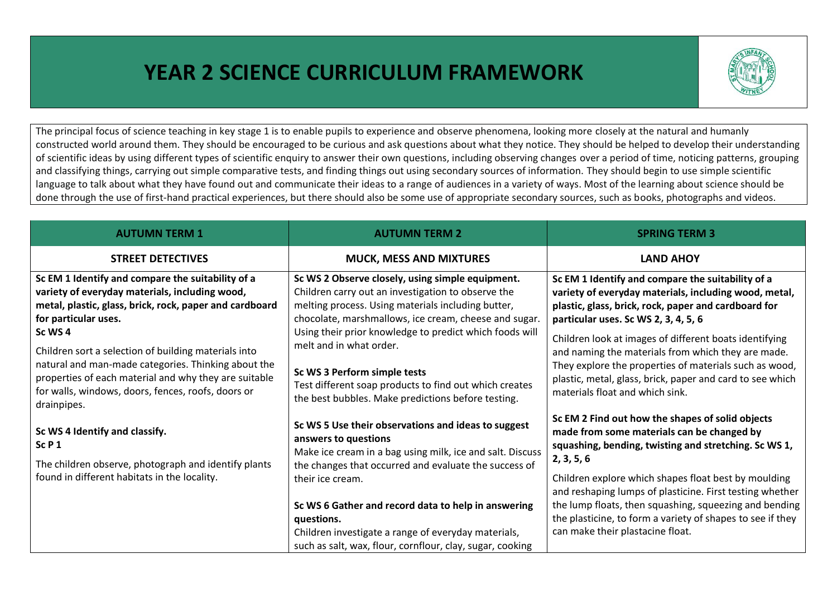## **YEAR 2 SCIENCE CURRICULUM FRAMEWORK**



The principal focus of science teaching in key stage 1 is to enable pupils to experience and observe phenomena, looking more closely at the natural and humanly constructed world around them. They should be encouraged to be curious and ask questions about what they notice. They should be helped to develop their understanding of scientific ideas by using different types of scientific enquiry to answer their own questions, including observing changes over a period of time, noticing patterns, grouping and classifying things, carrying out simple comparative tests, and finding things out using secondary sources of information. They should begin to use simple scientific language to talk about what they have found out and communicate their ideas to a range of audiences in a variety of ways. Most of the learning about science should be done through the use of first-hand practical experiences, but there should also be some use of appropriate secondary sources, such as books, photographs and videos.

| <b>AUTUMN TERM 1</b>                                                                                                                                                                                                                                                                                             | <b>AUTUMN TERM 2</b>                                                                                                                                                                                                                                                                                        | <b>SPRING TERM 3</b>                                                                                                                                                                                                                                                                                                                                                                 |
|------------------------------------------------------------------------------------------------------------------------------------------------------------------------------------------------------------------------------------------------------------------------------------------------------------------|-------------------------------------------------------------------------------------------------------------------------------------------------------------------------------------------------------------------------------------------------------------------------------------------------------------|--------------------------------------------------------------------------------------------------------------------------------------------------------------------------------------------------------------------------------------------------------------------------------------------------------------------------------------------------------------------------------------|
| <b>STREET DETECTIVES</b>                                                                                                                                                                                                                                                                                         | <b>MUCK, MESS AND MIXTURES</b>                                                                                                                                                                                                                                                                              | <b>LAND AHOY</b>                                                                                                                                                                                                                                                                                                                                                                     |
| Sc EM 1 Identify and compare the suitability of a<br>variety of everyday materials, including wood,<br>metal, plastic, glass, brick, rock, paper and cardboard<br>for particular uses.<br>Sc WS 4<br>Children sort a selection of building materials into<br>natural and man-made categories. Thinking about the | Sc WS 2 Observe closely, using simple equipment.<br>Children carry out an investigation to observe the<br>melting process. Using materials including butter,<br>chocolate, marshmallows, ice cream, cheese and sugar.<br>Using their prior knowledge to predict which foods will<br>melt and in what order. | Sc EM 1 Identify and compare the suitability of a<br>variety of everyday materials, including wood, metal,<br>plastic, glass, brick, rock, paper and cardboard for<br>particular uses. Sc WS 2, 3, 4, 5, 6<br>Children look at images of different boats identifying<br>and naming the materials from which they are made.<br>They explore the properties of materials such as wood, |
| properties of each material and why they are suitable<br>for walls, windows, doors, fences, roofs, doors or<br>drainpipes.                                                                                                                                                                                       | Sc WS 3 Perform simple tests<br>Test different soap products to find out which creates<br>the best bubbles. Make predictions before testing.                                                                                                                                                                | plastic, metal, glass, brick, paper and card to see which<br>materials float and which sink.                                                                                                                                                                                                                                                                                         |
| Sc WS 4 Identify and classify.<br>SCP1<br>The children observe, photograph and identify plants                                                                                                                                                                                                                   | Sc WS 5 Use their observations and ideas to suggest<br>answers to questions<br>Make ice cream in a bag using milk, ice and salt. Discuss                                                                                                                                                                    | Sc EM 2 Find out how the shapes of solid objects<br>made from some materials can be changed by<br>squashing, bending, twisting and stretching. Sc WS 1,<br>2, 3, 5, 6                                                                                                                                                                                                                |
| found in different habitats in the locality.                                                                                                                                                                                                                                                                     | the changes that occurred and evaluate the success of<br>their ice cream.<br>Sc WS 6 Gather and record data to help in answering<br>questions.                                                                                                                                                              | Children explore which shapes float best by moulding<br>and reshaping lumps of plasticine. First testing whether<br>the lump floats, then squashing, squeezing and bending<br>the plasticine, to form a variety of shapes to see if they                                                                                                                                             |
|                                                                                                                                                                                                                                                                                                                  | Children investigate a range of everyday materials,<br>such as salt, wax, flour, cornflour, clay, sugar, cooking                                                                                                                                                                                            | can make their plastacine float.                                                                                                                                                                                                                                                                                                                                                     |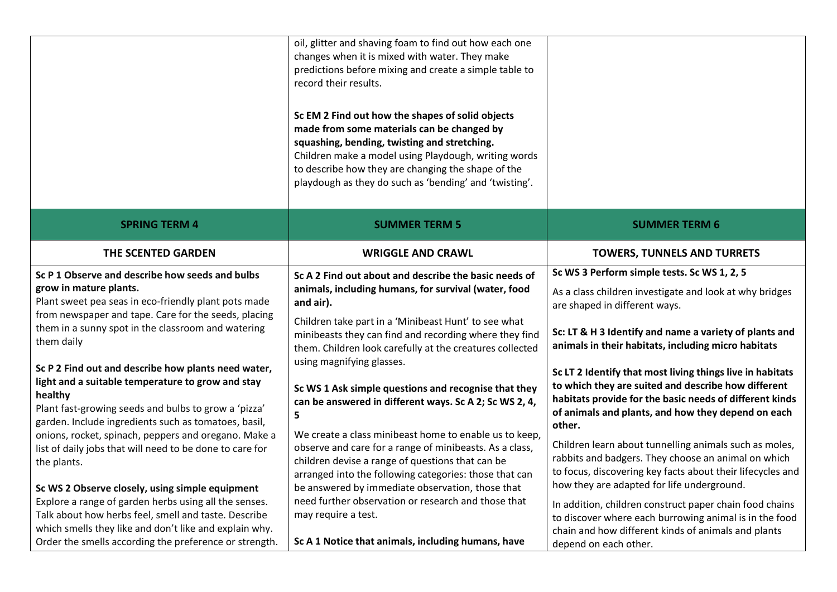|                                                                                                                                                                                                                                                                                                                                                                                                                                                                                                                                                                                                                                         | oil, glitter and shaving foam to find out how each one<br>changes when it is mixed with water. They make<br>predictions before mixing and create a simple table to<br>record their results.<br>Sc EM 2 Find out how the shapes of solid objects<br>made from some materials can be changed by<br>squashing, bending, twisting and stretching.<br>Children make a model using Playdough, writing words<br>to describe how they are changing the shape of the<br>playdough as they do such as 'bending' and 'twisting'.                                                                                                                                                                           |                                                                                                                                                                                                                                                                                                                                                                                                                                                                                                                                                                                                                                                                                        |
|-----------------------------------------------------------------------------------------------------------------------------------------------------------------------------------------------------------------------------------------------------------------------------------------------------------------------------------------------------------------------------------------------------------------------------------------------------------------------------------------------------------------------------------------------------------------------------------------------------------------------------------------|-------------------------------------------------------------------------------------------------------------------------------------------------------------------------------------------------------------------------------------------------------------------------------------------------------------------------------------------------------------------------------------------------------------------------------------------------------------------------------------------------------------------------------------------------------------------------------------------------------------------------------------------------------------------------------------------------|----------------------------------------------------------------------------------------------------------------------------------------------------------------------------------------------------------------------------------------------------------------------------------------------------------------------------------------------------------------------------------------------------------------------------------------------------------------------------------------------------------------------------------------------------------------------------------------------------------------------------------------------------------------------------------------|
| <b>SPRING TERM 4</b>                                                                                                                                                                                                                                                                                                                                                                                                                                                                                                                                                                                                                    | <b>SUMMER TERM 5</b>                                                                                                                                                                                                                                                                                                                                                                                                                                                                                                                                                                                                                                                                            | <b>SUMMER TERM 6</b>                                                                                                                                                                                                                                                                                                                                                                                                                                                                                                                                                                                                                                                                   |
| THE SCENTED GARDEN                                                                                                                                                                                                                                                                                                                                                                                                                                                                                                                                                                                                                      | <b>WRIGGLE AND CRAWL</b>                                                                                                                                                                                                                                                                                                                                                                                                                                                                                                                                                                                                                                                                        | <b>TOWERS, TUNNELS AND TURRETS</b>                                                                                                                                                                                                                                                                                                                                                                                                                                                                                                                                                                                                                                                     |
| Sc P 1 Observe and describe how seeds and bulbs<br>grow in mature plants.<br>Plant sweet pea seas in eco-friendly plant pots made<br>from newspaper and tape. Care for the seeds, placing<br>them in a sunny spot in the classroom and watering<br>them daily<br>Sc P 2 Find out and describe how plants need water,<br>light and a suitable temperature to grow and stay<br>healthy<br>Plant fast-growing seeds and bulbs to grow a 'pizza'<br>garden. Include ingredients such as tomatoes, basil,<br>onions, rocket, spinach, peppers and oregano. Make a<br>list of daily jobs that will need to be done to care for<br>the plants. | Sc A 2 Find out about and describe the basic needs of<br>animals, including humans, for survival (water, food<br>and air).<br>Children take part in a 'Minibeast Hunt' to see what<br>minibeasts they can find and recording where they find<br>them. Children look carefully at the creatures collected<br>using magnifying glasses.<br>Sc WS 1 Ask simple questions and recognise that they<br>can be answered in different ways. Sc A 2; Sc WS 2, 4,<br>5<br>We create a class minibeast home to enable us to keep,<br>observe and care for a range of minibeasts. As a class,<br>children devise a range of questions that can be<br>arranged into the following categories: those that can | Sc WS 3 Perform simple tests. Sc WS 1, 2, 5<br>As a class children investigate and look at why bridges<br>are shaped in different ways.<br>Sc: LT & H 3 Identify and name a variety of plants and<br>animals in their habitats, including micro habitats<br>Sc LT 2 Identify that most living things live in habitats<br>to which they are suited and describe how different<br>habitats provide for the basic needs of different kinds<br>of animals and plants, and how they depend on each<br>other.<br>Children learn about tunnelling animals such as moles,<br>rabbits and badgers. They choose an animal on which<br>to focus, discovering key facts about their lifecycles and |
| Sc WS 2 Observe closely, using simple equipment<br>Explore a range of garden herbs using all the senses.<br>Talk about how herbs feel, smell and taste. Describe<br>which smells they like and don't like and explain why.<br>Order the smells according the preference or strength.                                                                                                                                                                                                                                                                                                                                                    | be answered by immediate observation, those that<br>need further observation or research and those that<br>may require a test.<br>Sc A 1 Notice that animals, including humans, have                                                                                                                                                                                                                                                                                                                                                                                                                                                                                                            | how they are adapted for life underground.<br>In addition, children construct paper chain food chains<br>to discover where each burrowing animal is in the food<br>chain and how different kinds of animals and plants<br>depend on each other.                                                                                                                                                                                                                                                                                                                                                                                                                                        |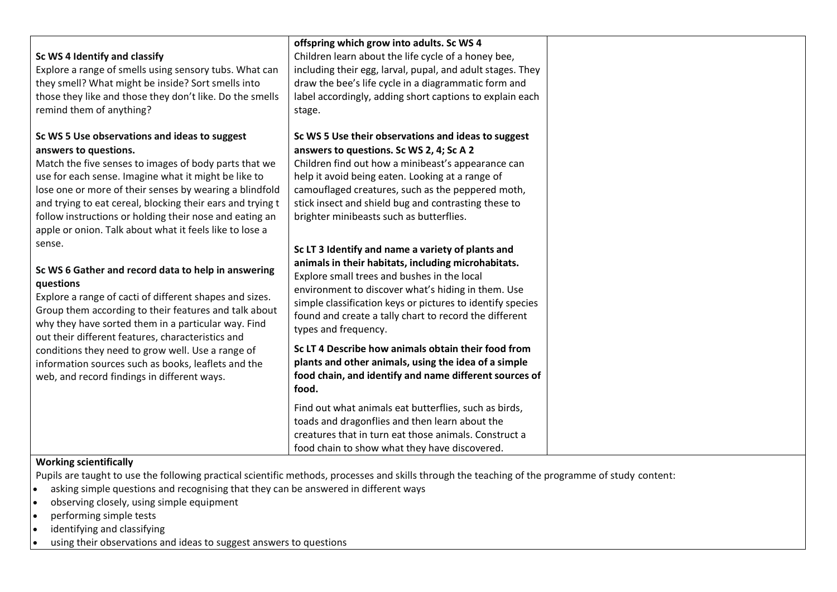| Sc WS 4 Identify and classify<br>Explore a range of smells using sensory tubs. What can<br>they smell? What might be inside? Sort smells into<br>those they like and those they don't like. Do the smells<br>remind them of anything?                                                                                                                                                                                                                                 | offspring which grow into adults. Sc WS 4<br>Children learn about the life cycle of a honey bee,<br>including their egg, larval, pupal, and adult stages. They<br>draw the bee's life cycle in a diagrammatic form and<br>label accordingly, adding short captions to explain each<br>stage.                                                                       |
|-----------------------------------------------------------------------------------------------------------------------------------------------------------------------------------------------------------------------------------------------------------------------------------------------------------------------------------------------------------------------------------------------------------------------------------------------------------------------|--------------------------------------------------------------------------------------------------------------------------------------------------------------------------------------------------------------------------------------------------------------------------------------------------------------------------------------------------------------------|
| Sc WS 5 Use observations and ideas to suggest<br>answers to questions.<br>Match the five senses to images of body parts that we<br>use for each sense. Imagine what it might be like to<br>lose one or more of their senses by wearing a blindfold<br>and trying to eat cereal, blocking their ears and trying t<br>follow instructions or holding their nose and eating an<br>apple or onion. Talk about what it feels like to lose a                                | Sc WS 5 Use their observations and ideas to suggest<br>answers to questions. Sc WS 2, 4; Sc A 2<br>Children find out how a minibeast's appearance can<br>help it avoid being eaten. Looking at a range of<br>camouflaged creatures, such as the peppered moth,<br>stick insect and shield bug and contrasting these to<br>brighter minibeasts such as butterflies. |
| sense.<br>Sc WS 6 Gather and record data to help in answering<br>questions<br>Explore a range of cacti of different shapes and sizes.<br>Group them according to their features and talk about<br>why they have sorted them in a particular way. Find<br>out their different features, characteristics and<br>conditions they need to grow well. Use a range of<br>information sources such as books, leaflets and the<br>web, and record findings in different ways. | Sc LT 3 Identify and name a variety of plants and<br>animals in their habitats, including microhabitats.<br>Explore small trees and bushes in the local<br>environment to discover what's hiding in them. Use<br>simple classification keys or pictures to identify species<br>found and create a tally chart to record the different<br>types and frequency.      |
|                                                                                                                                                                                                                                                                                                                                                                                                                                                                       | Sc LT 4 Describe how animals obtain their food from<br>plants and other animals, using the idea of a simple<br>food chain, and identify and name different sources of<br>food.                                                                                                                                                                                     |
| $\mathbf{A} \mathbf{A} \mathbf{A} = \mathbf{A} \mathbf{A} + \mathbf{A} \mathbf{A} + \mathbf{A} \mathbf{A} + \mathbf{A} \mathbf{A} + \mathbf{A} \mathbf{A} + \mathbf{A} \mathbf{A} + \mathbf{A} \mathbf{A} + \mathbf{A} \mathbf{A} + \mathbf{A} \mathbf{A} + \mathbf{A} \mathbf{A} + \mathbf{A} \mathbf{A} + \mathbf{A} \mathbf{A} + \mathbf{A} \mathbf{A} + \mathbf{A} \mathbf{A} + \mathbf{A} \mathbf{A} + \mathbf{A}$                                               | Find out what animals eat butterflies, such as birds,<br>toads and dragonflies and then learn about the<br>creatures that in turn eat those animals. Construct a<br>food chain to show what they have discovered.                                                                                                                                                  |

## **Working scientifically**

Pupils are taught to use the following practical scientific methods, processes and skills through the teaching of the programme of study content:

- asking simple questions and recognising that they can be answered in different ways
- observing closely, using simple equipment
- performing simple tests
- identifying and classifying
- using their observations and ideas to suggest answers to questions